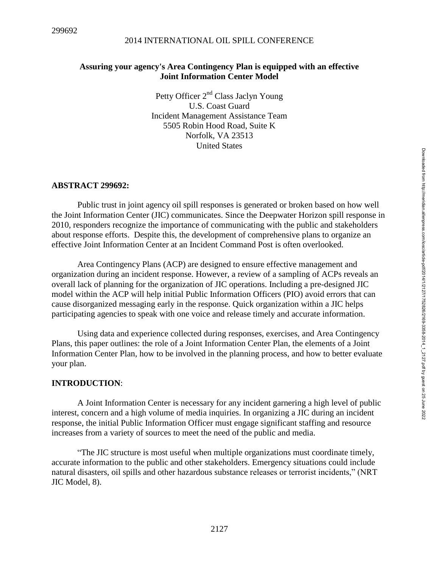## **Assuring your agency's Area Contingency Plan is equipped with an effective Joint Information Center Model**

Petty Officer 2<sup>nd</sup> Class Jaclyn Young U.S. Coast Guard Incident Management Assistance Team 5505 Robin Hood Road, Suite K Norfolk, VA 23513 United States

### **ABSTRACT 299692:**

Public trust in joint agency oil spill responses is generated or broken based on how well the Joint Information Center (JIC) communicates. Since the Deepwater Horizon spill response in 2010, responders recognize the importance of communicating with the public and stakeholders about response efforts. Despite this, the development of comprehensive plans to organize an effective Joint Information Center at an Incident Command Post is often overlooked.

Area Contingency Plans (ACP) are designed to ensure effective management and organization during an incident response. However, a review of a sampling of ACPs reveals an overall lack of planning for the organization of JIC operations. Including a pre-designed JIC model within the ACP will help initial Public Information Officers (PIO) avoid errors that can cause disorganized messaging early in the response. Quick organization within a JIC helps participating agencies to speak with one voice and release timely and accurate information.

Using data and experience collected during responses, exercises, and Area Contingency Plans, this paper outlines: the role of a Joint Information Center Plan, the elements of a Joint Information Center Plan, how to be involved in the planning process, and how to better evaluate your plan.

### **INTRODUCTION**:

A Joint Information Center is necessary for any incident garnering a high level of public interest, concern and a high volume of media inquiries. In organizing a JIC during an incident response, the initial Public Information Officer must engage significant staffing and resource increases from a variety of sources to meet the need of the public and media.

"The JIC structure is most useful when multiple organizations must coordinate timely, accurate information to the public and other stakeholders. Emergency situations could include natural disasters, oil spills and other hazardous substance releases or terrorist incidents," (NRT JIC Model, 8).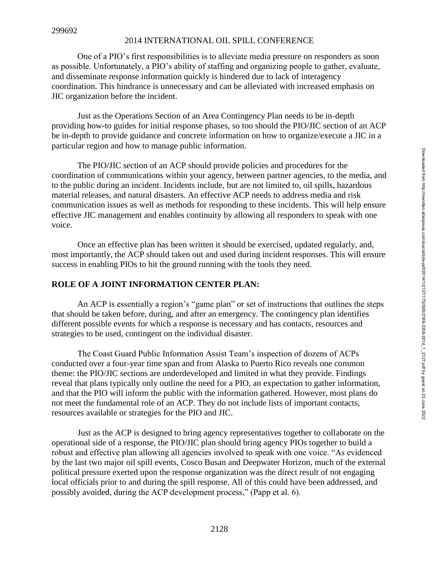One of a PIO's first responsibilities is to alleviate media pressure on responders as soon as possible. Unfortunately, a PIO's ability of staffing and organizing people to gather, evaluate, and disseminate response information quickly is hindered due to lack of interagency coordination. This hindrance is unnecessary and can be alleviated with increased emphasis on JIC organization before the incident.

Just as the Operations Section of an Area Contingency Plan needs to be in-depth providing how-to guides for initial response phases, so too should the PIO/JIC section of an ACP be in-depth to provide guidance and concrete information on how to organize/execute a JIC in a particular region and how to manage public information.

The PIO/JIC section of an ACP should provide policies and procedures for the coordination of communications within your agency, between partner agencies, to the media, and to the public during an incident. Incidents include, but are not limited to, oil spills, hazardous material releases, and natural disasters. An effective ACP needs to address media and risk communication issues as well as methods for responding to these incidents. This will help ensure effective JIC management and enables continuity by allowing all responders to speak with one voice.

Once an effective plan has been written it should be exercised, updated regularly, and, most importantly, the ACP should taken out and used during incident responses. This will ensure success in enabling PIOs to hit the ground running with the tools they need.

## **ROLE OF A JOINT INFORMATION CENTER PLAN:**

An ACP is essentially a region's "game plan" or set of instructions that outlines the steps that should be taken before, during, and after an emergency. The contingency plan identifies different possible events for which a response is necessary and has contacts, resources and strategies to be used, contingent on the individual disaster.

The Coast Guard Public Information Assist Team's inspection of dozens of ACPs conducted over a four-year time span and from Alaska to Puerto Rico reveals one common theme: the PIO/JIC sections are underdeveloped and limited in what they provide. Findings reveal that plans typically only outline the need for a PIO, an expectation to gather information, and that the PIO will inform the public with the information gathered. However, most plans do not meet the fundamental role of an ACP. They do not include lists of important contacts, resources available or strategies for the PIO and JIC.

Just as the ACP is designed to bring agency representatives together to collaborate on the operational side of a response, the PIO/JIC plan should bring agency PIOs together to build a robust and effective plan allowing all agencies involved to speak with one voice. "As evidenced by the last two major oil spill events, Cosco Busan and Deepwater Horizon, much of the external political pressure exerted upon the response organization was the direct result of not engaging local officials prior to and during the spill response. All of this could have been addressed, and possibly avoided, during the ACP development process," (Papp et al. 6).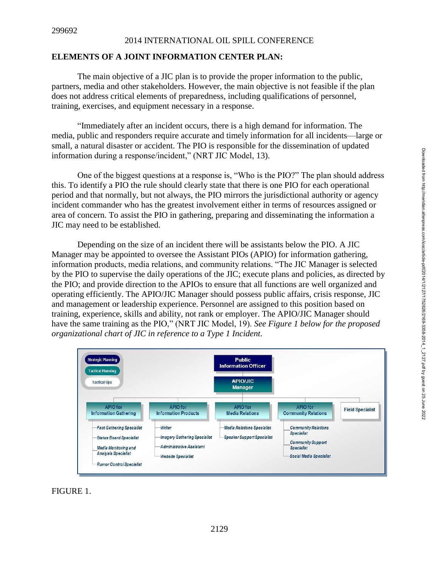#### 299692

#### 2014 INTERNATIONAL OIL SPILL CONFERENCE

### **ELEMENTS OF A JOINT INFORMATION CENTER PLAN:**

The main objective of a JIC plan is to provide the proper information to the public, partners, media and other stakeholders. However, the main objective is not feasible if the plan does not address critical elements of preparedness, including qualifications of personnel, training, exercises, and equipment necessary in a response.

"Immediately after an incident occurs, there is a high demand for information. The media, public and responders require accurate and timely information for all incidents—large or small, a natural disaster or accident. The PIO is responsible for the dissemination of updated information during a response/incident," (NRT JIC Model, 13).

One of the biggest questions at a response is, "Who is the PIO?" The plan should address this. To identify a PIO the rule should clearly state that there is one PIO for each operational period and that normally, but not always, the PIO mirrors the jurisdictional authority or agency incident commander who has the greatest involvement either in terms of resources assigned or area of concern. To assist the PIO in gathering, preparing and disseminating the information a JIC may need to be established.

Depending on the size of an incident there will be assistants below the PIO. A JIC Manager may be appointed to oversee the Assistant PIOs (APIO) for information gathering, information products, media relations, and community relations. "The JIC Manager is selected by the PIO to supervise the daily operations of the JIC; execute plans and policies, as directed by the PIO; and provide direction to the APIOs to ensure that all functions are well organized and operating efficiently. The APIO/JIC Manager should possess public affairs, crisis response, JIC and management or leadership experience. Personnel are assigned to this position based on training, experience, skills and ability, not rank or employer. The APIO/JIC Manager should have the same training as the PIO," (NRT JIC Model, 19). *See Figure 1 below for the proposed organizational chart of JIC in reference to a Type 1 Incident.*



### FIGURE 1.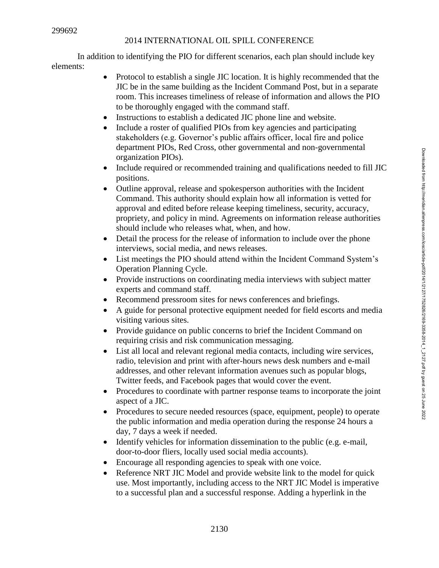In addition to identifying the PIO for different scenarios, each plan should include key elements:

- Protocol to establish a single JIC location. It is highly recommended that the JIC be in the same building as the Incident Command Post, but in a separate room. This increases timeliness of release of information and allows the PIO to be thoroughly engaged with the command staff.
- Instructions to establish a dedicated JIC phone line and website.
- Include a roster of qualified PIOs from key agencies and participating stakeholders (e.g. Governor's public affairs officer, local fire and police department PIOs, Red Cross, other governmental and non-governmental organization PIOs).
- Include required or recommended training and qualifications needed to fill JIC positions.
- Outline approval, release and spokesperson authorities with the Incident Command. This authority should explain how all information is vetted for approval and edited before release keeping timeliness, security, accuracy, propriety, and policy in mind. Agreements on information release authorities should include who releases what, when, and how.
- Detail the process for the release of information to include over the phone interviews, social media, and news releases.
- List meetings the PIO should attend within the Incident Command System's Operation Planning Cycle.
- Provide instructions on coordinating media interviews with subject matter experts and command staff.
- Recommend pressroom sites for news conferences and briefings.
- A guide for personal protective equipment needed for field escorts and media visiting various sites.
- Provide guidance on public concerns to brief the Incident Command on requiring crisis and risk communication messaging.
- List all local and relevant regional media contacts, including wire services, radio, television and print with after-hours news desk numbers and e-mail addresses, and other relevant information avenues such as popular blogs, Twitter feeds, and Facebook pages that would cover the event.
- Procedures to coordinate with partner response teams to incorporate the joint aspect of a JIC.
- Procedures to secure needed resources (space, equipment, people) to operate the public information and media operation during the response 24 hours a day, 7 days a week if needed.
- Identify vehicles for information dissemination to the public (e.g. e-mail, door-to-door fliers, locally used social media accounts).
- Encourage all responding agencies to speak with one voice.
- Reference NRT JIC Model and provide website link to the model for quick use. Most importantly, including access to the NRT JIC Model is imperative to a successful plan and a successful response. Adding a hyperlink in the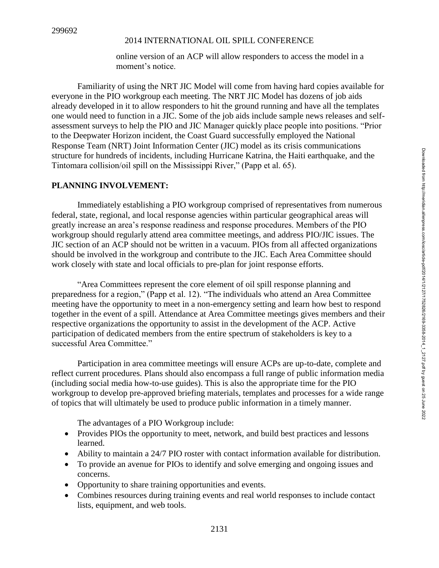online version of an ACP will allow responders to access the model in a moment's notice.

Familiarity of using the NRT JIC Model will come from having hard copies available for everyone in the PIO workgroup each meeting. The NRT JIC Model has dozens of job aids already developed in it to allow responders to hit the ground running and have all the templates one would need to function in a JIC. Some of the job aids include sample news releases and selfassessment surveys to help the PIO and JIC Manager quickly place people into positions. "Prior to the Deepwater Horizon incident, the Coast Guard successfully employed the National Response Team (NRT) Joint Information Center (JIC) model as its crisis communications structure for hundreds of incidents, including Hurricane Katrina, the Haiti earthquake, and the Tintomara collision/oil spill on the Mississippi River," (Papp et al. 65).

# **PLANNING INVOLVEMENT:**

Immediately establishing a PIO workgroup comprised of representatives from numerous federal, state, regional, and local response agencies within particular geographical areas will greatly increase an area's response readiness and response procedures. Members of the PIO workgroup should regularly attend area committee meetings, and address PIO/JIC issues. The JIC section of an ACP should not be written in a vacuum. PIOs from all affected organizations should be involved in the workgroup and contribute to the JIC. Each Area Committee should work closely with state and local officials to pre-plan for joint response efforts.

"Area Committees represent the core element of oil spill response planning and preparedness for a region," (Papp et al. 12). "The individuals who attend an Area Committee meeting have the opportunity to meet in a non-emergency setting and learn how best to respond together in the event of a spill. Attendance at Area Committee meetings gives members and their respective organizations the opportunity to assist in the development of the ACP. Active participation of dedicated members from the entire spectrum of stakeholders is key to a successful Area Committee."

Participation in area committee meetings will ensure ACPs are up-to-date, complete and reflect current procedures. Plans should also encompass a full range of public information media (including social media how-to-use guides). This is also the appropriate time for the PIO workgroup to develop pre-approved briefing materials, templates and processes for a wide range of topics that will ultimately be used to produce public information in a timely manner.

The advantages of a PIO Workgroup include:

- Provides PIOs the opportunity to meet, network, and build best practices and lessons learned.
- Ability to maintain a 24/7 PIO roster with contact information available for distribution.
- To provide an avenue for PIOs to identify and solve emerging and ongoing issues and concerns.
- Opportunity to share training opportunities and events.
- Combines resources during training events and real world responses to include contact lists, equipment, and web tools.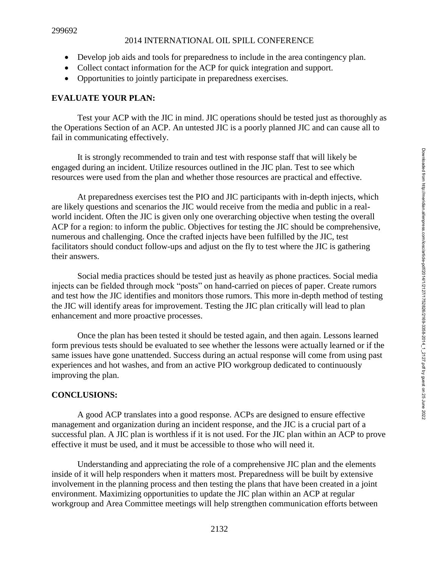- Develop job aids and tools for preparedness to include in the area contingency plan.
- Collect contact information for the ACP for quick integration and support.
- Opportunities to jointly participate in preparedness exercises.

## **EVALUATE YOUR PLAN:**

Test your ACP with the JIC in mind. JIC operations should be tested just as thoroughly as the Operations Section of an ACP. An untested JIC is a poorly planned JIC and can cause all to fail in communicating effectively.

It is strongly recommended to train and test with response staff that will likely be engaged during an incident. Utilize resources outlined in the JIC plan. Test to see which resources were used from the plan and whether those resources are practical and effective.

At preparedness exercises test the PIO and JIC participants with in-depth injects, which are likely questions and scenarios the JIC would receive from the media and public in a realworld incident. Often the JIC is given only one overarching objective when testing the overall ACP for a region: to inform the public. Objectives for testing the JIC should be comprehensive, numerous and challenging. Once the crafted injects have been fulfilled by the JIC, test facilitators should conduct follow-ups and adjust on the fly to test where the JIC is gathering their answers.

Social media practices should be tested just as heavily as phone practices. Social media injects can be fielded through mock "posts" on hand-carried on pieces of paper. Create rumors and test how the JIC identifies and monitors those rumors. This more in-depth method of testing the JIC will identify areas for improvement. Testing the JIC plan critically will lead to plan enhancement and more proactive processes.

Once the plan has been tested it should be tested again, and then again. Lessons learned form previous tests should be evaluated to see whether the lessons were actually learned or if the same issues have gone unattended. Success during an actual response will come from using past experiences and hot washes, and from an active PIO workgroup dedicated to continuously improving the plan.

## **CONCLUSIONS:**

A good ACP translates into a good response. ACPs are designed to ensure effective management and organization during an incident response, and the JIC is a crucial part of a successful plan. A JIC plan is worthless if it is not used. For the JIC plan within an ACP to prove effective it must be used, and it must be accessible to those who will need it.

Understanding and appreciating the role of a comprehensive JIC plan and the elements inside of it will help responders when it matters most. Preparedness will be built by extensive involvement in the planning process and then testing the plans that have been created in a joint environment. Maximizing opportunities to update the JIC plan within an ACP at regular workgroup and Area Committee meetings will help strengthen communication efforts between